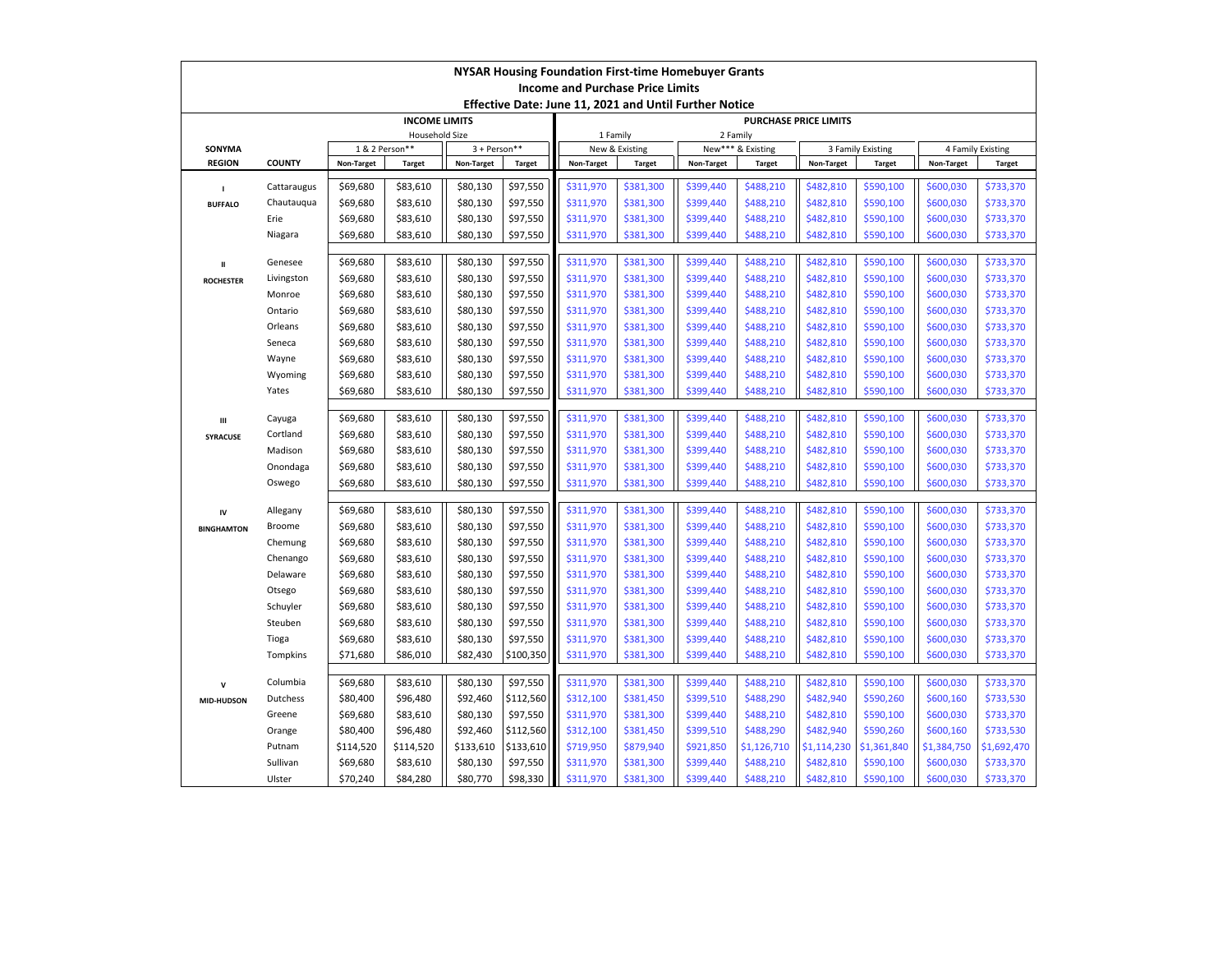| NYSAR Housing Foundation First-time Homebuyer Grants   |                           |                                                         |                      |                      |               |                                   |                               |                        |               |                        |               |                        |                        |  |
|--------------------------------------------------------|---------------------------|---------------------------------------------------------|----------------------|----------------------|---------------|-----------------------------------|-------------------------------|------------------------|---------------|------------------------|---------------|------------------------|------------------------|--|
| <b>Income and Purchase Price Limits</b>                |                           |                                                         |                      |                      |               |                                   |                               |                        |               |                        |               |                        |                        |  |
| Effective Date: June 11, 2021 and Until Further Notice |                           |                                                         |                      |                      |               |                                   |                               |                        |               |                        |               |                        |                        |  |
|                                                        |                           |                                                         | <b>INCOME LIMITS</b> |                      |               | PURCHASE PRICE LIMITS<br>1 Family |                               |                        |               |                        |               |                        |                        |  |
| SONYMA                                                 |                           | <b>Household Size</b><br>1 & 2 Person**<br>3 + Person** |                      |                      |               | New & Existing                    | 2 Family<br>New*** & Existing |                        |               | 3 Family Existing      |               | 4 Family Existing      |                        |  |
| <b>REGION</b>                                          | <b>COUNTY</b>             | Non-Target                                              | <b>Target</b>        | Non-Target           | <b>Target</b> | Non-Target                        | <b>Target</b>                 | Non-Target             | <b>Target</b> | Non-Target             | <b>Target</b> | Non-Target             | <b>Target</b>          |  |
|                                                        |                           |                                                         |                      |                      |               |                                   |                               |                        |               |                        |               |                        |                        |  |
| $\mathbf{I}$                                           | Cattaraugus               | \$69,680                                                | \$83,610             | \$80,130             | \$97,550      | \$311,970                         | \$381,300                     | \$399,440              | \$488,210     | \$482,810              | \$590,100     | \$600,030              | \$733,370              |  |
| <b>BUFFALO</b>                                         | Chautaugua                | \$69,680                                                | \$83,610             | \$80,130             | \$97,550      | \$311,970                         | \$381,300                     | \$399,440              | \$488,210     | \$482,810              | \$590,100     | \$600,030              | \$733,370              |  |
|                                                        | Erie                      | \$69,680                                                | \$83,610             | \$80,130             | \$97,550      | \$311,970                         | \$381,300                     | \$399,440              | \$488,210     | \$482,810              | \$590,100     | \$600,030              | \$733,370              |  |
|                                                        | Niagara                   | \$69,680                                                | \$83,610             | \$80,130             | \$97,550      | \$311,970                         | \$381,300                     | \$399,440              | \$488,210     | \$482,810              | \$590,100     | \$600,030              | \$733,370              |  |
| $\mathbf{u}$                                           | Genesee                   | \$69,680                                                | \$83,610             | \$80,130             | \$97,550      | \$311,970                         | \$381,300                     | \$399,440              | \$488,210     | \$482,810              | \$590,100     | \$600,030              | \$733,370              |  |
| <b>ROCHESTER</b>                                       | Livingston                | \$69,680                                                | \$83,610             | \$80,130             | \$97,550      | \$311,970                         | \$381,300                     | \$399,440              | \$488,210     | \$482,810              | \$590,100     | \$600,030              | \$733,370              |  |
|                                                        | Monroe                    | \$69,680                                                | \$83,610             | \$80,130             | \$97,550      | \$311,970                         | \$381,300                     | \$399,440              | \$488,210     | \$482,810              | \$590,100     | \$600,030              | \$733,370              |  |
|                                                        | Ontario                   | \$69,680                                                | \$83,610             | \$80,130             | \$97,550      | \$311,970                         | \$381,300                     | \$399,440              | \$488,210     | \$482,810              | \$590,100     | \$600,030              | \$733,370              |  |
|                                                        | Orleans                   | \$69,680                                                | \$83,610             | \$80,130             | \$97,550      | \$311,970                         | \$381,300                     | \$399,440              | \$488,210     | \$482,810              | \$590,100     | \$600,030              | \$733,370              |  |
|                                                        | Seneca                    | \$69,680                                                | \$83,610             | \$80,130             | \$97,550      | \$311,970                         | \$381,300                     | \$399,440              | \$488,210     | \$482,810              | \$590,100     | \$600,030              | \$733,370              |  |
|                                                        | Wayne                     | \$69,680                                                | \$83,610             | \$80,130             | \$97,550      | \$311,970                         | \$381,300                     | \$399,440              | \$488,210     | \$482,810              | \$590,100     | \$600,030              | \$733,370              |  |
|                                                        | Wyoming                   | \$69,680                                                | \$83,610             | \$80,130             | \$97,550      | \$311,970                         | \$381,300                     | \$399,440              | \$488,210     | \$482,810              | \$590,100     | \$600,030              | \$733,370              |  |
|                                                        | Yates                     | \$69,680                                                | \$83,610             | \$80,130             | \$97,550      | \$311,970                         | \$381,300                     | \$399,440              | \$488,210     | \$482,810              | \$590,100     | \$600,030              | \$733,370              |  |
|                                                        |                           |                                                         |                      |                      |               |                                   |                               |                        |               |                        |               |                        |                        |  |
| Ш                                                      | Cayuga                    | \$69,680                                                | \$83,610             | \$80,130             | \$97,550      | \$311,970                         | \$381,300                     | \$399,440              | \$488,210     | \$482,810              | \$590,100     | \$600,030              | \$733,370              |  |
| SYRACUSE                                               | Cortland                  | \$69,680                                                | \$83,610             | \$80,130             | \$97,550      | \$311,970                         | \$381,300                     | \$399,440              | \$488,210     | \$482,810              | \$590,100     | \$600,030              | \$733,370              |  |
|                                                        | Madison                   | \$69,680                                                | \$83,610             | \$80,130             | \$97,550      | \$311,970                         | \$381,300                     | \$399,440              | \$488,210     | \$482,810              | \$590,100     | \$600,030              | \$733,370              |  |
|                                                        | Onondaga                  | \$69,680                                                | \$83,610             | \$80,130             | \$97,550      | \$311,970                         | \$381,300                     | \$399,440              | \$488,210     | \$482,810              | \$590,100     | \$600,030              | \$733,370              |  |
|                                                        | Oswego                    | \$69,680                                                | \$83,610             | \$80,130             | \$97,550      | \$311,970                         | \$381,300                     | \$399,440              | \$488,210     | \$482,810              | \$590,100     | \$600,030              | \$733,370              |  |
|                                                        |                           |                                                         |                      |                      | \$97,550      | \$311,970                         |                               |                        | \$488,210     |                        | \$590,100     |                        |                        |  |
| IV                                                     | Allegany<br><b>Broome</b> | \$69,680<br>\$69,680                                    | \$83,610<br>\$83,610 | \$80,130<br>\$80,130 | \$97,550      | \$311,970                         | \$381,300<br>\$381,300        | \$399,440<br>\$399,440 | \$488,210     | \$482,810<br>\$482,810 | \$590,100     | \$600,030<br>\$600,030 | \$733,370<br>\$733,370 |  |
| <b>BINGHAMTON</b>                                      | Chemung                   | \$69,680                                                | \$83,610             | \$80,130             | \$97,550      | \$311,970                         | \$381,300                     | \$399,440              | \$488,210     | \$482,810              | \$590,100     | \$600,030              | \$733,370              |  |
|                                                        | Chenango                  | \$69,680                                                | \$83,610             | \$80,130             | \$97,550      | \$311,970                         | \$381,300                     | \$399,440              | \$488,210     | \$482,810              | \$590,100     | \$600,030              | \$733,370              |  |
|                                                        | Delaware                  | \$69,680                                                | \$83,610             | \$80,130             | \$97,550      | \$311,970                         | \$381,300                     | \$399,440              | \$488,210     | \$482,810              | \$590,100     | \$600,030              | \$733,370              |  |
|                                                        | Otsego                    | \$69,680                                                | \$83,610             | \$80,130             | \$97,550      | \$311,970                         | \$381,300                     | \$399,440              | \$488,210     | \$482,810              | \$590,100     | \$600,030              | \$733,370              |  |
|                                                        | Schuyler                  | \$69,680                                                | \$83,610             | \$80,130             | \$97,550      | \$311,970                         | \$381,300                     | \$399,440              | \$488,210     | \$482,810              | \$590,100     | \$600,030              | \$733,370              |  |
|                                                        | Steuben                   | \$69,680                                                | \$83,610             | \$80,130             | \$97,550      | \$311,970                         | \$381,300                     | \$399,440              | \$488,210     | \$482,810              | \$590,100     | \$600,030              | \$733,370              |  |
|                                                        | Tioga                     | \$69,680                                                | \$83,610             | \$80,130             | \$97,550      | \$311,970                         | \$381,300                     | \$399,440              | \$488,210     | \$482,810              | \$590,100     | \$600,030              | \$733,370              |  |
|                                                        | Tompkins                  | \$71,680                                                | \$86,010             | \$82,430             | \$100,350     | \$311,970                         | \$381,300                     | \$399,440              | \$488,210     | \$482,810              | \$590,100     | \$600,030              | \$733,370              |  |
|                                                        |                           |                                                         |                      |                      |               |                                   |                               |                        |               |                        |               |                        |                        |  |
| $\mathbf v$                                            | Columbia                  | \$69,680                                                | \$83,610             | \$80,130             | \$97,550      | \$311,970                         | \$381,300                     | \$399,440              | \$488,210     | \$482,810              | \$590,100     | \$600,030              | \$733,370              |  |
| MID-HUDSON                                             | Dutchess                  | \$80,400                                                | \$96,480             | \$92,460             | \$112,560     | \$312,100                         | \$381,450                     | \$399,510              | \$488,290     | \$482,940              | \$590,260     | \$600,160              | \$733,530              |  |
|                                                        | Greene                    | \$69,680                                                | \$83,610             | \$80,130             | \$97,550      | \$311,970                         | \$381,300                     | \$399,440              | \$488,210     | \$482,810              | \$590,100     | \$600,030              | \$733,370              |  |
|                                                        | Orange                    | \$80,400                                                | \$96,480             | \$92,460             | \$112,560     | \$312,100                         | \$381,450                     | \$399,510              | \$488,290     | \$482,940              | \$590,260     | \$600,160              | \$733,530              |  |
|                                                        | Putnam                    | \$114,520                                               | \$114,520            | \$133,610            | \$133,610     | \$719,950                         | \$879,940                     | \$921,850              | \$1,126,710   | \$1,114,230            | \$1,361,840   | \$1,384,750            | \$1,692,470            |  |
|                                                        | Sullivan                  | \$69,680                                                | \$83,610             | \$80,130             | \$97,550      | \$311,970                         | \$381,300                     | \$399,440              | \$488,210     | \$482,810              | \$590,100     | \$600,030              | \$733,370              |  |
|                                                        | Ulster                    | \$70,240                                                | \$84,280             | \$80,770             | \$98,330      | \$311,970                         | \$381,300                     | \$399,440              | \$488,210     | \$482,810              | \$590,100     | \$600,030              | \$733,370              |  |